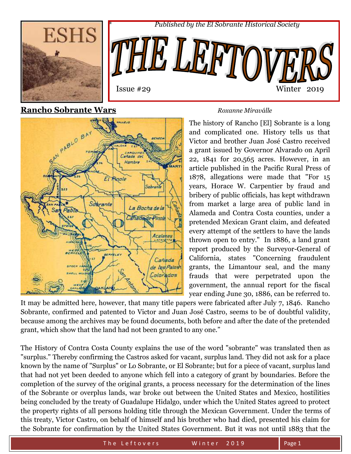



### **Rancho Sobrante Wars** *Roxanne Miraválle*



The history of Rancho [El] Sobrante is a long and complicated one. History tells us that Victor and brother Juan José Castro received a grant issued by Governor Alvarado on April 22, 1841 for 20,565 acres. However, in an article published in the Pacific Rural Press of 1878, allegations were made that "For 15 years, Horace W. Carpentier by fraud and bribery of public officials, has kept withdrawn from market a large area of public land in Alameda and Contra Costa counties, under a pretended Mexican Grant claim, and defeated every attempt of the settlers to have the lands thrown open to entry." In 1886, a land grant report produced by the Surveyor-General of California, states "Concerning fraudulent grants, the Limantour seal, and the many frauds that were perpetrated upon the government, the annual report for the fiscal year ending June 30, 1886, can be referred to.

It may be admitted here, however, that many title papers were fabricated after July 7, 1846. Rancho Sobrante, confirmed and patented to Victor and Juan José Castro, seems to be of doubtful validity, because among the archives may be found documents, both before and after the date of the pretended grant, which show that the land had not been granted to any one."

The History of Contra Costa County explains the use of the word "sobrante" was translated then as "surplus." Thereby confirming the Castros asked for vacant, surplus land. They did not ask for a place known by the name of "Surplus" or Lo Sobrante, or El Sobrante; but for a piece of vacant, surplus land that had not yet been deeded to anyone which fell into a category of grant by boundaries. Before the completion of the survey of the original grants, a process necessary for the determination of the lines of the Sobrante or overplus lands, war broke out between the United States and Mexico, hostilities being concluded by the treaty of Guadalupe Hidalgo, under which the United States agreed to protect the property rights of all persons holding title through the Mexican Government. Under the terms of this treaty, Victor Castro, on behalf of himself and his brother who had died, presented his claim for the Sobrante for confirmation by the United States Government. But it was not until 1883 that the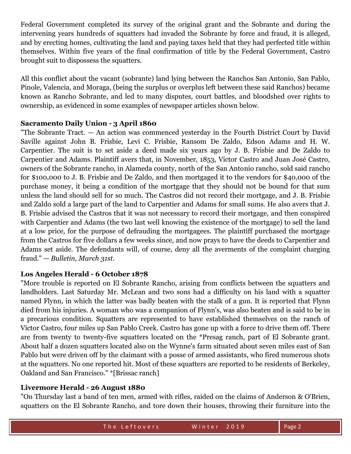Federal Government completed its survey of the original grant and the Sobrante and during the intervening years hundreds of squatters had invaded the Sobrante by force and fraud, it is alleged, and by erecting homes, cultivating the land and paying taxes held that they had perfected title within themselves. Within five years of the final confirmation of title by the Federal Government, Castro brought suit to dispossess the squatters.

All this conflict about the vacant (sobrante) land lying between the Ranchos San Antonio, San Pablo, Pinole, Valencia, and Moraga, (being the surplus or overplus left between these said Ranchos) became known as Rancho Sobrante, and led to many disputes, court battles, and bloodshed over rights to ownership, as evidenced in some examples of newspaper articles shown below.

#### **Sacramento Daily Union - 3 April 1860**

"The Sobrante Tract. — An action was commenced yesterday in the Fourth District Court by David Saville against John B. Frisbie, Levi C. Frisbie, Ransom De Zaldo, Edson Adams and H. W. Carpentier. The suit is to set aside a deed made six years ago by J. B. Frisbie and De Zaldo to Carpentier and Adams. Plaintiff avers that, in November, 1853, Victor Castro and Juan José Castro, owners of the Sobrante rancho, in Alameda county, north of the San Antonio rancho, sold said rancho for \$100,000 to J. B. Frisbie and De Zaldo, and then mortgaged it to the vendors for \$40,000 of the purchase money, it being a condition of the mortgage that they should not be bound for that sum unless the land should sell for so much. The Castros did not record their mortgage, and J. B. Frisbie and Zaldo sold a large part of the land to Carpentier and Adams for small sums. He also avers that J. B. Frisbie advised the Castros that it was not necessary to record their mortgage, and then conspired with Carpentier and Adams (the two last well knowing the existence of the mortgage) to sell the land at a low price, for the purpose of defrauding the mortgagees. The plaintiff purchased the mortgage from the Castros for five dollars a few weeks since, and now prays to have the deeds to Carpentier and Adams set aside. The defendants will, of course, deny all the averments of the complaint charging fraud." — *Bulletin, March 31st.*

#### **Los Angeles Herald - 6 October 1878**

"More trouble is reported on El Sobrante Rancho, arising from conflicts between the squatters and landholders. Last Saturday Mr. McLean and two sons had a difficulty on his land with a squatter named Flynn, in which the latter was badly beaten with the stalk of a gun. It is reported that Flynn died from his injuries. A woman who was a companion of Flynn's, was also beaten and is said to be in a precarious condition. Squatters are represented to have established themselves on the ranch of Victor Castro, four miles up San Pablo Creek. Castro has gone up with a force to drive them off. There are from twenty to twenty-five squatters located on the \*Presag ranch, part of El Sobrante grant. About half a dozen squatters located also on the Wynne's farm situated about seven miles east of San Pablo but were driven off by the claimant with a posse of armed assistants, who fired numerous shots at the squatters. No one reported hit. Most of these squatters are reported to be residents of Berkeley, Oakland and San Francisco." \*[Brissac ranch]

#### **Livermore Herald - 26 August 1880**

"On Thursday last a band of ten men, armed with rifles, raided on the claims of Anderson & O'Brien, squatters on the El Sobrante Rancho, and tore down their houses, throwing their furniture into the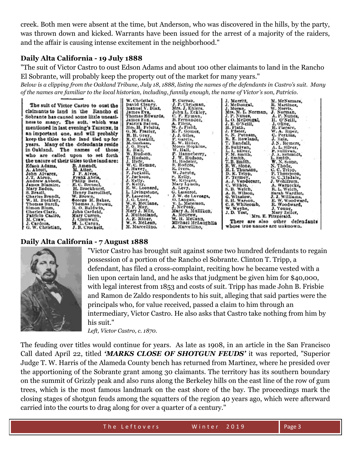creek. Both men were absent at the time, but Anderson, who was discovered in the hills, by the party, was thrown down and kicked. Warrants have been issued for the arrest of a majority of the raiders, and the affair is causing intense excitement in the neighborhood."

#### **Daily Alta California - 19 July 1888**

"The suit of Victor Castro to oust Edson Adams and about 100 other claimants to land in the Rancho El Sobrante, will probably keep the property out of the market for many years."

*Below is a clipping from the Oakland Tribune, July 18, 1888, listing the names of the defendants in Castro's suit. Many of the names are familiar to the local historian, including, funnily enough, the name of Victor's son, Patricio.*

| <b>Products and Contract and Con-</b>       | W. Christian.    | P. Curran.         |                                 |                 |
|---------------------------------------------|------------------|--------------------|---------------------------------|-----------------|
|                                             |                  |                    | J. Merritt,                     | M. McNamara,    |
| The suit of Victor Castro to oust the       | David Clancy,    | J. P. Chrisman.    | J. McDougal.                    | R. Martinez,    |
|                                             | Manuel V. Diaz,  | Mrs. J. Ehlers.    | J. Moran,                       | W. Norris,      |
| claimants to land in the Rancho el          | James Eva.       | John L. Eckley.    | Mrs. M. L. Norman,              | J. Norman.      |
| Sobrante has caused some little uneasi-     | Thomas Edwards.  | C. F. Eyman,       | J. P. Nunes,                    | A. P. Nunes,    |
|                                             | James Fox.       | B. Fernandez,      | L. O. McDougal.                 | H. O'Neill,     |
| ness to many. The suit, which was           | Patrick Ballou.  | A. Flietz,         | J. E. O'Neill,                  | J. Olive.       |
| mentioned in last evening's TRIBUNE, is     | Mrs. H. Feleitz, | W. J. Field,       | H. Plath.                       | H. Plerace,     |
|                                             | G. M. Frazier.   | X. F. Gomes,       | J. Pfister,                     | W. A. Eiper,    |
| an important one, and will probably         | H. H. Gray,      | J.J. Giles.        | S. N. Putnam,                   | C. Perkins.     |
| keep the titles to the land tied up for     | R. C. GASAIL.    | F. Garcia.         | R. E. Rowland,                  | J. Reis.        |
|                                             | M. Gorham.       | E. W. Hiller,      | T. Randall,                     | J.N. Remers,    |
| years. Many of the defendants reside        | J. G. Hoyt.      | Moses Hopkins.     | E. Sullivan,                    | A. L. Silver.   |
| in Oakland. The names of those              | E. Hall,         | W. Hall.           | L. L. Silver,                   | P. Sullivan.    |
|                                             | W. Hudson,       | P. Hanneberry,     | F.M. Smith.                     | J. A. Schmidt,  |
| who are called upon to set forth            | T. Hudson,       | J. W. Hudson,      | J. Smith,                       | L. Smith,       |
| the nature of their titles to the land are: | J. Hefr.         | H. Hodeler,        | T.B. Smith.                     | W. N. Stone.    |
| Edson Adams.<br>B. Amendt.                  | W. C. Hemne,     | S. Hodges.         | B. W. Stone.                    | N. Thode.       |
| A. Abrott,<br>M. Attec.                     | J. Havey,        | R. Ivers.          | H. I. Thurston,                 | C.C. Tripp.     |
| J.P. Alves,<br>John Alvarez,                | F. Jucksill.     | W. Jacobs.         | D. K. Tripp.                    | P. Thompson,    |
| Frank Abria.<br>J.T. Abren.                 | F. Jackson,      | K. Kelly,          | P. Termey,                      | G. C. Tisdale.  |
| Philip Betz,<br>Andrew Abbott.              | J. Kelly,        | W. Krieger,        | A. J. Vandecarr.                |                 |
| E. C. Brensel.<br>James Blamire,            | P. Kelly.        | Mary Lynch.        |                                 | J. Wohlfrom.    |
| Mary Baden.<br>H. Brockhurst,               | E. W. Leonard,   | A. Levy.           | C. Wilkie.                      | A. Warnecke,    |
|                                             | L. Livingstone.  | G. Lasserot.       | S. B. Welch.                    | R. L. Welch,    |
| S. Brazil,<br>Henry Barrollhet,             | P. Lasserot.     | J. W. de Laveaga,  | A. R. Wilson.                   | Sarah Wardler,  |
| Charles Brandt,<br>W. Brown,                | J.G. Luez,       | O. Langan.         | G. Winslow.                     | J. J. Williams, |
| George H. Baker.<br>W. H. Euckley.          | W. S. McClane.   | Y. L. Materson,    | S. H. Warson,                   | E. W. Woodward, |
| Thomas Burch.<br>Thomas A. Brown.           | E. P. May.       | J. McPeak,         | C. S. Whitcomb,                 | R. Woodward,    |
| R. O. Baldwin,<br>Simon Blum.               | Mary J. Milz,    |                    | W. Weybe,                       | J. Young,       |
| Charles Clark.<br>John Carfield,            |                  | Mary A. Mulliken.  | J.D. Yost,                      | Mary Zeller,    |
| Mary Curren.<br>Patricio Castro,            | J. Mulholland,   | A. McGrow.         | Mrs. E. Fitzgerald.             |                 |
| M. Craw.<br>J. Cornwall,                    | A. E. Miner,     | W. H. McCann,      | There are also other defendants |                 |
| M. L. Carun.<br>J. Cardozs,                 | W. S. McLean,    | Michael McLaughlin |                                 |                 |
| G. W. Christian.<br>J. B. Crockett,         | M. Marcellino.   | A. Marcellino.     | whose true names are unknown.   |                 |

#### **Daily Alta California - 7 August 1888**



"Victor Castro has brought suit against some two hundred defendants to regain possession of a portion of the Rancho el Sobrante. Clinton T. Tripp, a defendant, has filed a cross-complaint, reciting how he became vested with a lien upon certain land, and he asks that judgment be given him for \$40,000, with legal interest from 1853 and costs of suit. Tripp has made John B. Frisbie and Ramon de Zaldo respondents to his suit, alleging that said parties were the principals who, for value received, passed a claim to him through an intermediary, Victor Castro. He also asks that Castro take nothing from him by his suit."

*Left, Victor Castro, c. 1870.*

The feuding over titles would continue for years. As late as 1908, in an article in the San Francisco Call dated April 22, titled *'MARKS CLOSE OF SHOTGUN FEUDS'* it was reported, "Superior Judge T. W. Harris of the Alameda County bench has returned from Martinez, where he presided over the apportioning of the Sobrante grant among 30 claimants. The territory has its southern boundary on the summit of Grizzly peak and also runs along the Berkeley hills on the east line of the row of gum trees, which is the most famous landmark on the east shore of the bay. The proceedings mark the closing stages of shotgun feuds among the squatters of the region 40 years ago, which were afterward carried into the courts to drag along for over a quarter of a century."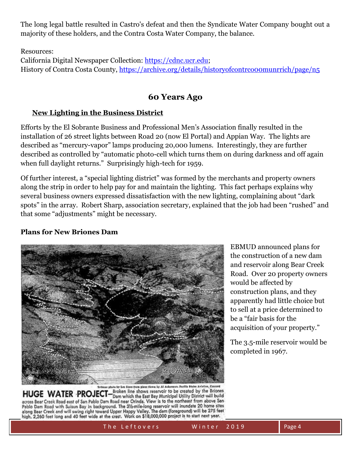The long legal battle resulted in Castro's defeat and then the Syndicate Water Company bought out a majority of these holders, and the Contra Costa Water Company, the balance.

Resources:

California Digital Newspaper Collection: [https://cdnc.ucr.edu;](https://cdnc.ucr.edu/) History of Contra Costa County,<https://archive.org/details/historyofcontrco00munrrich/page/n5>

## **60 Years Ago**

#### **New Lighting in the Business District**

Efforts by the El Sobrante Business and Professional Men's Association finally resulted in the installation of 26 street lights between Road 20 (now El Portal) and Appian Way. The lights are described as "mercury-vapor" lamps producing 20,000 lumens. Interestingly, they are further described as controlled by "automatic photo-cell which turns them on during darkness and off again when full daylight returns." Surprisingly high-tech for 1959.

Of further interest, a "special lighting district" was formed by the merchants and property owners along the strip in order to help pay for and maintain the lighting. This fact perhaps explains why several business owners expressed dissatisfaction with the new lighting, complaining about "dark spots" in the array. Robert Sharp, association secretary, explained that the job had been "rushed" and that some "adjustments" might be necessary.

### **Plans for New Briones Dam**



HUGE WATER PROJECT-Broken line shows reservoir to be created by the Briones<br>HUGE WATER PROJECT-Broken line shows reservoir to be created by the Briones across Bear Creek Road east of San Pablo Dam Road near Orinda. View is to the northeast from above San Pablo Dam Road with Suisun Bay in background. The 31/2-mile-long reservoir will inundate 20 home sites along Bear Creek and will swing right toward Upper Happy Valley. The dam (foreground) will be 275 feet high, 2,260 feet long and 40 feet wide at the crest. Work on \$18,000,000 project is to start next year.

EBMUD announced plans for the construction of a new dam and reservoir along Bear Creek Road. Over 20 property owners would be affected by construction plans, and they apparently had little choice but to sell at a price determined to be a "fair basis for the acquisition of your property."

The 3.5-mile reservoir would be completed in 1967.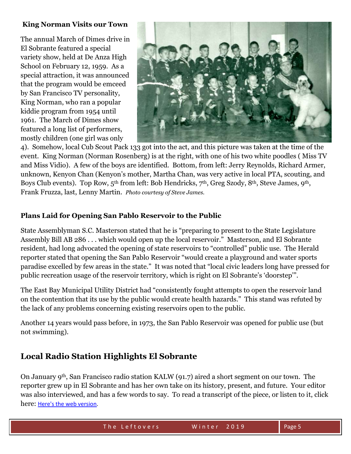#### **King Norman Visits our Town**

The annual March of Dimes drive in El Sobrante featured a special variety show, held at De Anza High School on February 12, 1959. As a special attraction, it was announced that the program would be emceed by San Francisco TV personality, King Norman, who ran a popular kiddie program from 1954 until 1961. The March of Dimes show featured a long list of performers, mostly children (one girl was only



4). Somehow, local Cub Scout Pack 133 got into the act, and this picture was taken at the time of the event. King Norman (Norman Rosenberg) is at the right, with one of his two white poodles ( Miss TV and Miss Vidio). A few of the boys are identified. Bottom, from left: Jerry Reynolds, Richard Armer, unknown, Kenyon Chan (Kenyon's mother, Martha Chan, was very active in local PTA, scouting, and Boys Club events). Top Row, 5th from left: Bob Hendricks, 7th, Greg Szody, 8th, Steve James, 9th, Frank Fruzza, last, Lenny Martin. *Photo courtesy of Steve James.* 

#### **Plans Laid for Opening San Pablo Reservoir to the Public**

State Assemblyman S.C. Masterson stated that he is "preparing to present to the State Legislature Assembly Bill AB 286 . . . which would open up the local reservoir." Masterson, and El Sobrante resident, had long advocated the opening of state reservoirs to "controlled" public use. The Herald reporter stated that opening the San Pablo Reservoir "would create a playground and water sports paradise excelled by few areas in the state." It was noted that "local civic leaders long have pressed for public recreation usage of the reservoir territory, which is right on El Sobrante's 'doorstep'".

The East Bay Municipal Utility District had "consistently fought attempts to open the reservoir land on the contention that its use by the public would create health hazards." This stand was refuted by the lack of any problems concerning existing reservoirs open to the public.

Another 14 years would pass before, in 1973, the San Pablo Reservoir was opened for public use (but not swimming).

## **Local Radio Station Highlights El Sobrante**

On January 9th, San Francisco radio station KALW (91.7) aired a short segment on our town. The reporter grew up in El Sobrante and has her own take on its history, present, and future. Your editor was also interviewed, and has a few words to say. To read a transcript of the piece, or listen to it, click here: [Here's the web version.](https://www.kalw.org/post/el-sobrante-will-changing-bay-area-leave-leftovers-behind#stream/0)